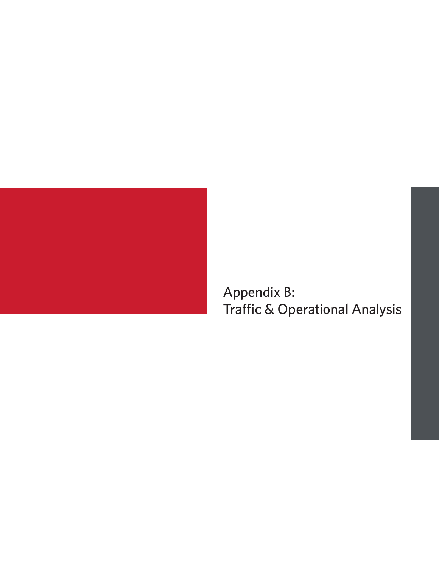

Appendix B: Traffic & Operational Analysis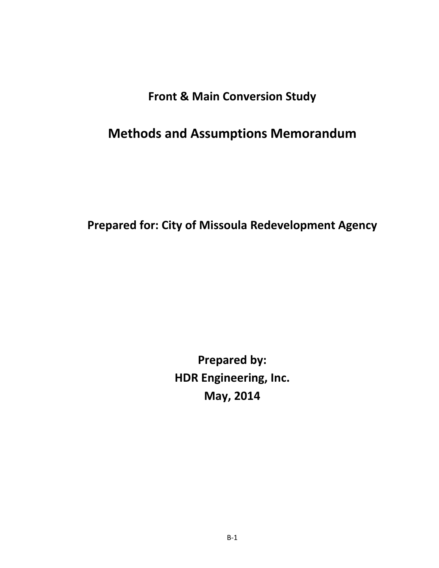## **Front & Main Conversion Study**

# **Methods and Assumptions Memorandum**

**Prepared for: City of Missoula Redevelopment Agency**

**Prepared by: HDR Engineering, Inc. May, 2014**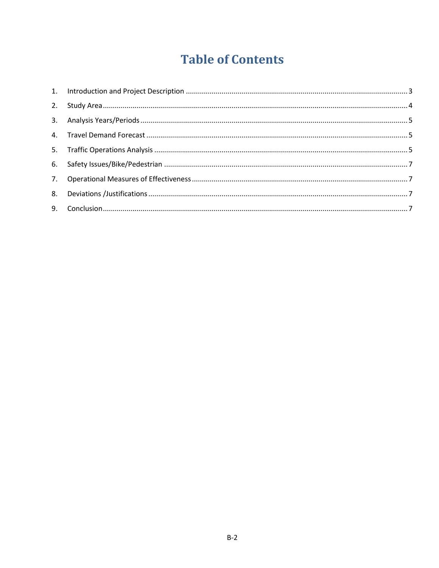# **Table of Contents**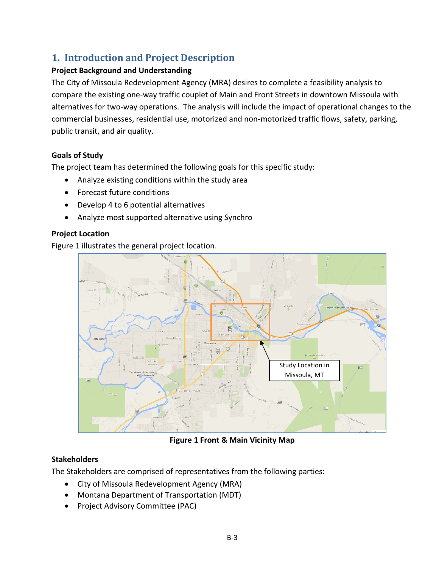### <span id="page-3-0"></span>**1. Introduction and Project Description**

#### **Project Background and Understanding**

The City of Missoula Redevelopment Agency (MRA) desires to complete a feasibility analysis to compare the existing one-way traffic couplet of Main and Front Streets in downtown Missoula with alternatives for two-way operations. The analysis will include the impact of operational changes to the commercial businesses, residential use, motorized and non-motorized traffic flows, safety, parking, public transit, and air quality.

#### **Goals of Study**

The project team has determined the following goals for this specific study:

- Analyze existing conditions within the study area
- Forecast future conditions
- Develop 4 to 6 potential alternatives
- Analyze most supported alternative using Synchro

#### **Project Location**

Figure 1 illustrates the general project location.



**Figure 1 Front & Main Vicinity Map**

#### **Stakeholders**

The Stakeholders are comprised of representatives from the following parties:

- City of Missoula Redevelopment Agency (MRA)
- Montana Department of Transportation (MDT)
- Project Advisory Committee (PAC)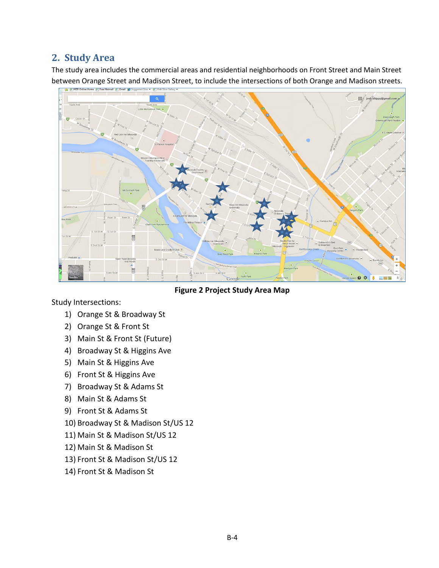### <span id="page-4-0"></span>**2. Study Area**

The study area includes the commercial areas and residential neighborhoods on Front Street and Main Street between Orange Street and Madison Street, to include the intersections of both Orange and Madison streets.



**Figure 2 Project Study Area Map**

Study Intersections:

- 1) Orange St & Broadway St
- 2) Orange St & Front St
- 3) Main St & Front St (Future)
- 4) Broadway St & Higgins Ave
- 5) Main St & Higgins Ave
- 6) Front St & Higgins Ave
- 7) Broadway St & Adams St
- 8) Main St & Adams St
- 9) Front St & Adams St
- 10) Broadway St & Madison St/US 12
- 11) Main St & Madison St/US 12
- 12) Main St & Madison St
- 13) Front St & Madison St/US 12
- 14) Front St & Madison St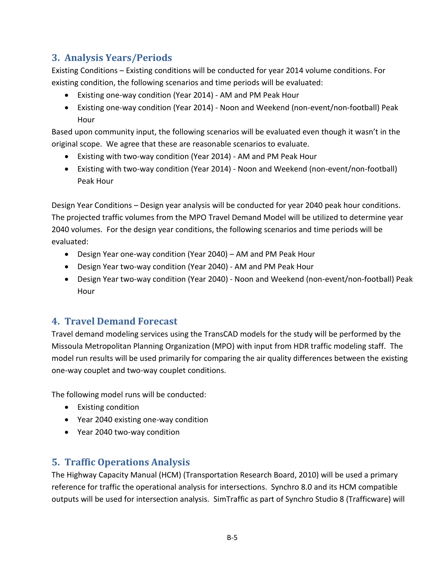### <span id="page-5-0"></span>**3. Analysis Years/Periods**

Existing Conditions – Existing conditions will be conducted for year 2014 volume conditions. For existing condition, the following scenarios and time periods will be evaluated:

- Existing one-way condition (Year 2014) AM and PM Peak Hour
- Existing one-way condition (Year 2014) Noon and Weekend (non-event/non-football) Peak Hour

Based upon community input, the following scenarios will be evaluated even though it wasn't in the original scope. We agree that these are reasonable scenarios to evaluate.

- Existing with two-way condition (Year 2014) AM and PM Peak Hour
- Existing with two-way condition (Year 2014) Noon and Weekend (non-event/non-football) Peak Hour

Design Year Conditions – Design year analysis will be conducted for year 2040 peak hour conditions. The projected traffic volumes from the MPO Travel Demand Model will be utilized to determine year 2040 volumes. For the design year conditions, the following scenarios and time periods will be evaluated:

- Design Year one-way condition (Year 2040) AM and PM Peak Hour
- Design Year two-way condition (Year 2040) AM and PM Peak Hour
- Design Year two-way condition (Year 2040) Noon and Weekend (non-event/non-football) Peak Hour

### <span id="page-5-1"></span>**4. Travel Demand Forecast**

Travel demand modeling services using the TransCAD models for the study will be performed by the Missoula Metropolitan Planning Organization (MPO) with input from HDR traffic modeling staff. The model run results will be used primarily for comparing the air quality differences between the existing one-way couplet and two-way couplet conditions.

The following model runs will be conducted:

- Existing condition
- Year 2040 existing one-way condition
- Year 2040 two-way condition

### <span id="page-5-2"></span>**5. Traffic Operations Analysis**

The Highway Capacity Manual (HCM) (Transportation Research Board, 2010) will be used a primary reference for traffic the operational analysis for intersections. Synchro 8.0 and its HCM compatible outputs will be used for intersection analysis. SimTraffic as part of Synchro Studio 8 (Trafficware) will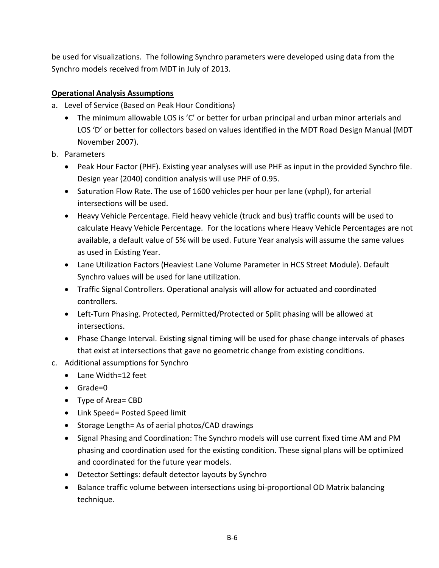be used for visualizations. The following Synchro parameters were developed using data from the Synchro models received from MDT in July of 2013.

#### **Operational Analysis Assumptions**

- a. Level of Service (Based on Peak Hour Conditions)
	- The minimum allowable LOS is 'C' or better for urban principal and urban minor arterials and LOS 'D' or better for collectors based on values identified in the MDT Road Design Manual (MDT November 2007).
- b. Parameters
	- Peak Hour Factor (PHF). Existing year analyses will use PHF as input in the provided Synchro file. Design year (2040) condition analysis will use PHF of 0.95.
	- Saturation Flow Rate. The use of 1600 vehicles per hour per lane (vphpl), for arterial intersections will be used.
	- Heavy Vehicle Percentage. Field heavy vehicle (truck and bus) traffic counts will be used to calculate Heavy Vehicle Percentage. For the locations where Heavy Vehicle Percentages are not available, a default value of 5% will be used. Future Year analysis will assume the same values as used in Existing Year.
	- Lane Utilization Factors (Heaviest Lane Volume Parameter in HCS Street Module). Default Synchro values will be used for lane utilization.
	- Traffic Signal Controllers. Operational analysis will allow for actuated and coordinated controllers.
	- Left-Turn Phasing. Protected, Permitted/Protected or Split phasing will be allowed at intersections.
	- Phase Change Interval. Existing signal timing will be used for phase change intervals of phases that exist at intersections that gave no geometric change from existing conditions.
- c. Additional assumptions for Synchro
	- Lane Width=12 feet
	- Grade=0
	- Type of Area= CBD
	- Link Speed= Posted Speed limit
	- Storage Length= As of aerial photos/CAD drawings
	- Signal Phasing and Coordination: The Synchro models will use current fixed time AM and PM phasing and coordination used for the existing condition. These signal plans will be optimized and coordinated for the future year models.
	- Detector Settings: default detector layouts by Synchro
	- Balance traffic volume between intersections using bi-proportional OD Matrix balancing technique.